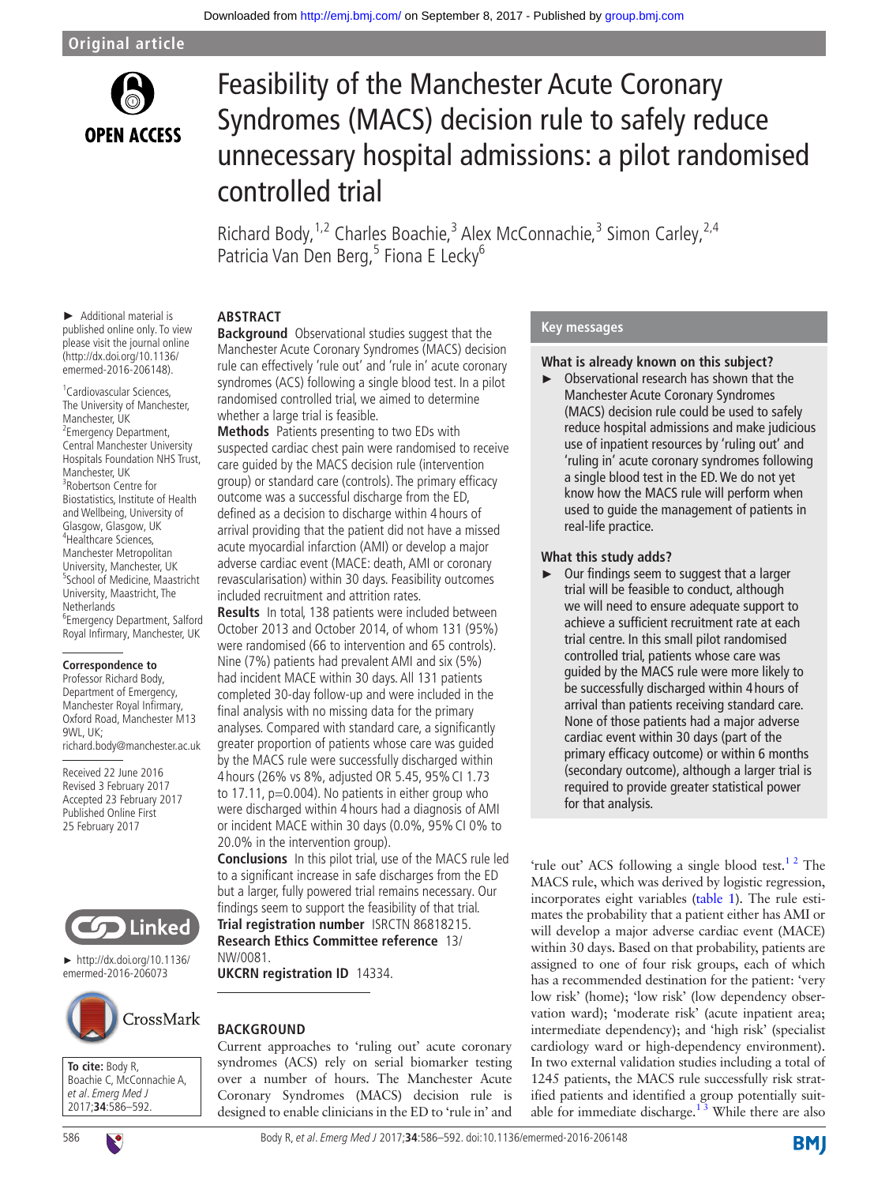**Original article**



# Feasibility of the Manchester Acute Coronary Syndromes (MACS) decision rule to safely reduce unnecessary hospital admissions: a pilot randomised controlled trial

Richard Body, <sup>1,2</sup> Charles Boachie, <sup>3</sup> Alex McConnachie, <sup>3</sup> Simon Carley, <sup>2,4</sup> Patricia Van Den Berg,<sup>5</sup> Fiona E Lecky<sup>6</sup>

# **Abstract**

► Additional material is published online only. To view please visit the journal online (http://dx.doi.org/10.1136/ emermed-2016-206148).

<sup>1</sup> Cardiovascular Sciences, The University of Manchester, Manchester, UK <sup>2</sup> Emergency Department, Central Manchester University Hospitals Foundation NHS Trust, Manchester, UK 3 Robertson Centre for Biostatistics, Institute of Health and Wellbeing, University of Glasgow, Glasgow, UK 4 Healthcare Sciences, Manchester Metropolitan University, Manchester, UK 5 School of Medicine, Maastricht University, Maastricht, The **Netherlands** 6 Emergency Department, Salford

Royal Infirmary, Manchester, UK

#### **Correspondence to**

Professor Richard Body, Department of Emergency, Manchester Royal Infirmary, Oxford Road, Manchester M13 9WL, UK; richard.body@manchester.ac.uk

Received 22 June 2016 Revised 3 February 2017 Accepted 23 February 2017 Published Online First 25 February 2017



► [http://dx.doi.org/10.1136/](http://dx.doi.org/10.1136/emermed-2016-206073) [emermed-2016-206073](http://dx.doi.org/10.1136/emermed-2016-206073)



**To cite:** Body R, Boachie C, McConnachie A, et al. Emerg Med J 2017;**34**:586–592.



**Background** Observational studies suggest that the Manchester Acute Coronary Syndromes (MACS) decision rule can effectively 'rule out' and 'rule in' acute coronary syndromes (ACS) following a single blood test. In a pilot randomised controlled trial, we aimed to determine whether a large trial is feasible.

**Methods** Patients presenting to two EDs with suspected cardiac chest pain were randomised to receive care guided by the MACS decision rule (intervention group) or standard care (controls). The primary efficacy outcome was a successful discharge from the ED, defined as a decision to discharge within 4 hours of arrival providing that the patient did not have a missed acute myocardial infarction (AMI) or develop a major adverse cardiac event (MACE: death, AMI or coronary revascularisation) within 30 days. Feasibility outcomes included recruitment and attrition rates.

**Results** In total, 138 patients were included between October 2013 and October 2014, of whom 131 (95%) were randomised (66 to intervention and 65 controls). Nine (7%) patients had prevalent AMI and six (5%) had incident MACE within 30 days. All 131 patients completed 30-day follow-up and were included in the final analysis with no missing data for the primary analyses. Compared with standard care, a significantly greater proportion of patients whose care was guided by the MACS rule were successfully discharged within 4 hours (26% vs 8%, adjusted OR 5.45, 95%CI 1.73 to 17.11,  $p=0.004$ ). No patients in either group who were discharged within 4 hours had a diagnosis of AMI or incident MACE within 30 days (0.0%, 95%CI 0% to 20.0% in the intervention group).

**Conclusions** In this pilot trial, use of the MACS rule led to a significant increase in safe discharges from the ED but a larger, fully powered trial remains necessary. Our findings seem to support the feasibility of that trial. **Trial registration number** ISRCTN 86818215. **Research Ethics Committee reference** 13/ NW/0081.

**UKCRN registration ID** 14334.

# **BACKGROUND**

Current approaches to 'ruling out' acute coronary syndromes (ACS) rely on serial biomarker testing over a number of hours. The Manchester Acute Coronary Syndromes (MACS) decision rule is designed to enable clinicians in the ED to 'rule in' and

### **Key messages**

#### **What is already known on this subject?**

► Observational research has shown that the Manchester Acute Coronary Syndromes (MACS) decision rule could be used to safely reduce hospital admissions and make judicious use of inpatient resources by 'ruling out' and 'ruling in' acute coronary syndromes following a single blood test in the ED. We do not yet know how the MACS rule will perform when used to guide the management of patients in real-life practice.

#### **What this study adds?**

Our findings seem to suggest that a larger trial will be feasible to conduct, although we will need to ensure adequate support to achieve a sufficient recruitment rate at each trial centre. In this small pilot randomised controlled trial, patients whose care was guided by the MACS rule were more likely to be successfully discharged within 4 hours of arrival than patients receiving standard care. None of those patients had a major adverse cardiac event within 30 days (part of the primary efficacy outcome) or within 6 months (secondary outcome), although a larger trial is required to provide greater statistical power for that analysis.

'rule out' ACS following a single blood test.<sup>12</sup> The MACS rule, which was derived by logistic regression, incorporates eight variables [\(table](#page-1-0) 1). The rule estimates the probability that a patient either has AMI or will develop a major adverse cardiac event (MACE) within 30 days. Based on that probability, patients are assigned to one of four risk groups, each of which has a recommended destination for the patient: 'very low risk' (home); 'low risk' (low dependency observation ward); 'moderate risk' (acute inpatient area; intermediate dependency); and 'high risk' (specialist cardiology ward or high-dependency environment). In two external validation studies including a total of 1245 patients, the MACS rule successfully risk stratified patients and identified a group potentially suitable for immediate discharge. $13$  While there are also

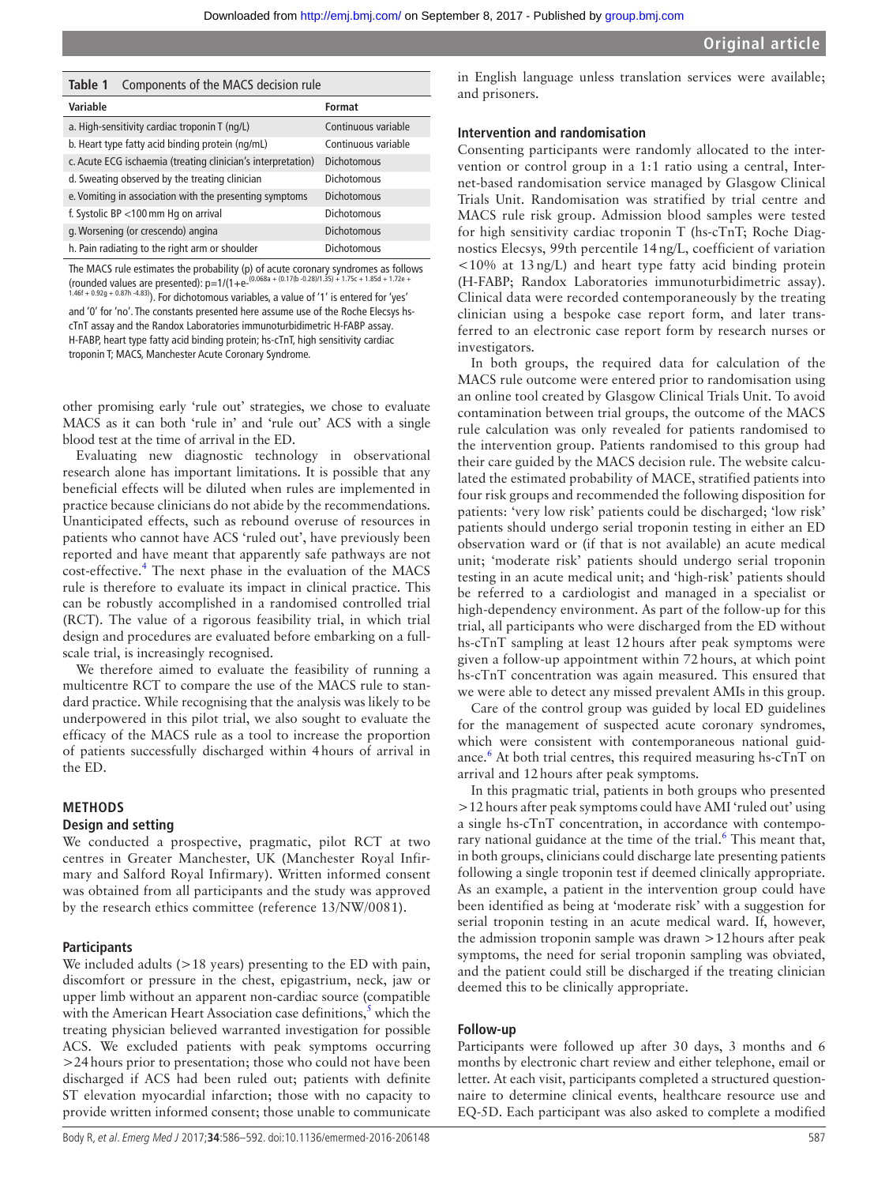<span id="page-1-0"></span>

| Components of the MACS decision rule<br>Table 1                                    |                     |  |  |  |
|------------------------------------------------------------------------------------|---------------------|--|--|--|
| Variable                                                                           | Format              |  |  |  |
| a. High-sensitivity cardiac troponin T (nq/L)                                      | Continuous variable |  |  |  |
| b. Heart type fatty acid binding protein (ng/mL)<br>Continuous variable            |                     |  |  |  |
| c. Acute ECG ischaemia (treating clinician's interpretation)<br><b>Dichotomous</b> |                     |  |  |  |
| d. Sweating observed by the treating clinician<br>Dichotomous                      |                     |  |  |  |
| e. Vomiting in association with the presenting symptoms<br>Dichotomous             |                     |  |  |  |
| f. Systolic BP <100 mm Hg on arrival<br>Dichotomous                                |                     |  |  |  |
| g. Worsening (or crescendo) angina<br><b>Dichotomous</b>                           |                     |  |  |  |
| h. Pain radiating to the right arm or shoulder<br>Dichotomous                      |                     |  |  |  |

The MACS rule estimates the probability (p) of acute coronary syndromes as follows (rounded values are presented): p=1/(1+e-(0.068a + (0.17(b -0.28)/1.35) + 1.75c + 1.85d + 1.72e +  $1.46f + 0.92g + 0.87h - 4.83$ ). For dichotomous variables, a value of '1' is entered for 'yes'

and '0' for 'no'. The constants presented here assume use of the Roche Elecsys hscTnT assay and the Randox Laboratories immunoturbidimetric H-FABP assay. H-FABP, heart type fatty acid binding protein; hs-cTnT, high sensitivity cardiac troponin T; MACS, Manchester Acute Coronary Syndrome.

other promising early 'rule out' strategies, we chose to evaluate MACS as it can both 'rule in' and 'rule out' ACS with a single blood test at the time of arrival in the ED.

Evaluating new diagnostic technology in observational research alone has important limitations. It is possible that any beneficial effects will be diluted when rules are implemented in practice because clinicians do not abide by the recommendations. Unanticipated effects, such as rebound overuse of resources in patients who cannot have ACS 'ruled out', have previously been reported and have meant that apparently safe pathways are not cost-effective.<sup>4</sup> The next phase in the evaluation of the MACS rule is therefore to evaluate its impact in clinical practice. This can be robustly accomplished in a randomised controlled trial (RCT). The value of a rigorous feasibility trial, in which trial design and procedures are evaluated before embarking on a fullscale trial, is increasingly recognised.

We therefore aimed to evaluate the feasibility of running a multicentre RCT to compare the use of the MACS rule to standard practice. While recognising that the analysis was likely to be underpowered in this pilot trial, we also sought to evaluate the efficacy of the MACS rule as a tool to increase the proportion of patients successfully discharged within 4hours of arrival in the ED.

#### **Methods**

#### **Design and setting**

We conducted a prospective, pragmatic, pilot RCT at two centres in Greater Manchester, UK (Manchester Royal Infirmary and Salford Royal Infirmary). Written informed consent was obtained from all participants and the study was approved by the research ethics committee (reference 13/NW/0081).

#### **Participants**

We included adults (>18 years) presenting to the ED with pain, discomfort or pressure in the chest, epigastrium, neck, jaw or upper limb without an apparent non-cardiac source (compatible with the American Heart Association case definitions,<sup>[5](#page-5-2)</sup> which the treating physician believed warranted investigation for possible ACS. We excluded patients with peak symptoms occurring >24hours prior to presentation; those who could not have been discharged if ACS had been ruled out; patients with definite ST elevation myocardial infarction; those with no capacity to provide written informed consent; those unable to communicate

in English language unless translation services were available; and prisoners.

#### **Intervention and randomisation**

Consenting participants were randomly allocated to the intervention or control group in a 1:1 ratio using a central, Internet-based randomisation service managed by Glasgow Clinical Trials Unit. Randomisation was stratified by trial centre and MACS rule risk group. Admission blood samples were tested for high sensitivity cardiac troponin T (hs-cTnT; Roche Diagnostics Elecsys, 99th percentile 14ng/L, coefficient of variation <10% at 13ng/L) and heart type fatty acid binding protein (H-FABP; Randox Laboratories immunoturbidimetric assay). Clinical data were recorded contemporaneously by the treating clinician using a bespoke case report form, and later transferred to an electronic case report form by research nurses or investigators.

In both groups, the required data for calculation of the MACS rule outcome were entered prior to randomisation using an online tool created by Glasgow Clinical Trials Unit. To avoid contamination between trial groups, the outcome of the MACS rule calculation was only revealed for patients randomised to the intervention group. Patients randomised to this group had their care guided by the MACS decision rule. The website calculated the estimated probability of MACE, stratified patients into four risk groups and recommended the following disposition for patients: 'very low risk' patients could be discharged; 'low risk' patients should undergo serial troponin testing in either an ED observation ward or (if that is not available) an acute medical unit; 'moderate risk' patients should undergo serial troponin testing in an acute medical unit; and 'high-risk' patients should be referred to a cardiologist and managed in a specialist or high-dependency environment. As part of the follow-up for this trial, all participants who were discharged from the ED without hs-cTnT sampling at least 12hours after peak symptoms were given a follow-up appointment within 72hours, at which point hs-cTnT concentration was again measured. This ensured that we were able to detect any missed prevalent AMIs in this group.

Care of the control group was guided by local ED guidelines for the management of suspected acute coronary syndromes, which were consistent with contemporaneous national guid-ance.<sup>[6](#page-6-0)</sup> At both trial centres, this required measuring hs-cTnT on arrival and 12hours after peak symptoms.

In this pragmatic trial, patients in both groups who presented >12hours after peak symptoms could have AMI 'ruled out' using a single hs-cTnT concentration, in accordance with contempo-rary national guidance at the time of the trial.<sup>[6](#page-6-0)</sup> This meant that, in both groups, clinicians could discharge late presenting patients following a single troponin test if deemed clinically appropriate. As an example, a patient in the intervention group could have been identified as being at 'moderate risk' with a suggestion for serial troponin testing in an acute medical ward. If, however, the admission troponin sample was drawn >12hours after peak symptoms, the need for serial troponin sampling was obviated, and the patient could still be discharged if the treating clinician deemed this to be clinically appropriate.

#### **Follow-up**

Participants were followed up after 30 days, 3 months and 6 months by electronic chart review and either telephone, email or letter. At each visit, participants completed a structured questionnaire to determine clinical events, healthcare resource use and EQ-5D. Each participant was also asked to complete a modified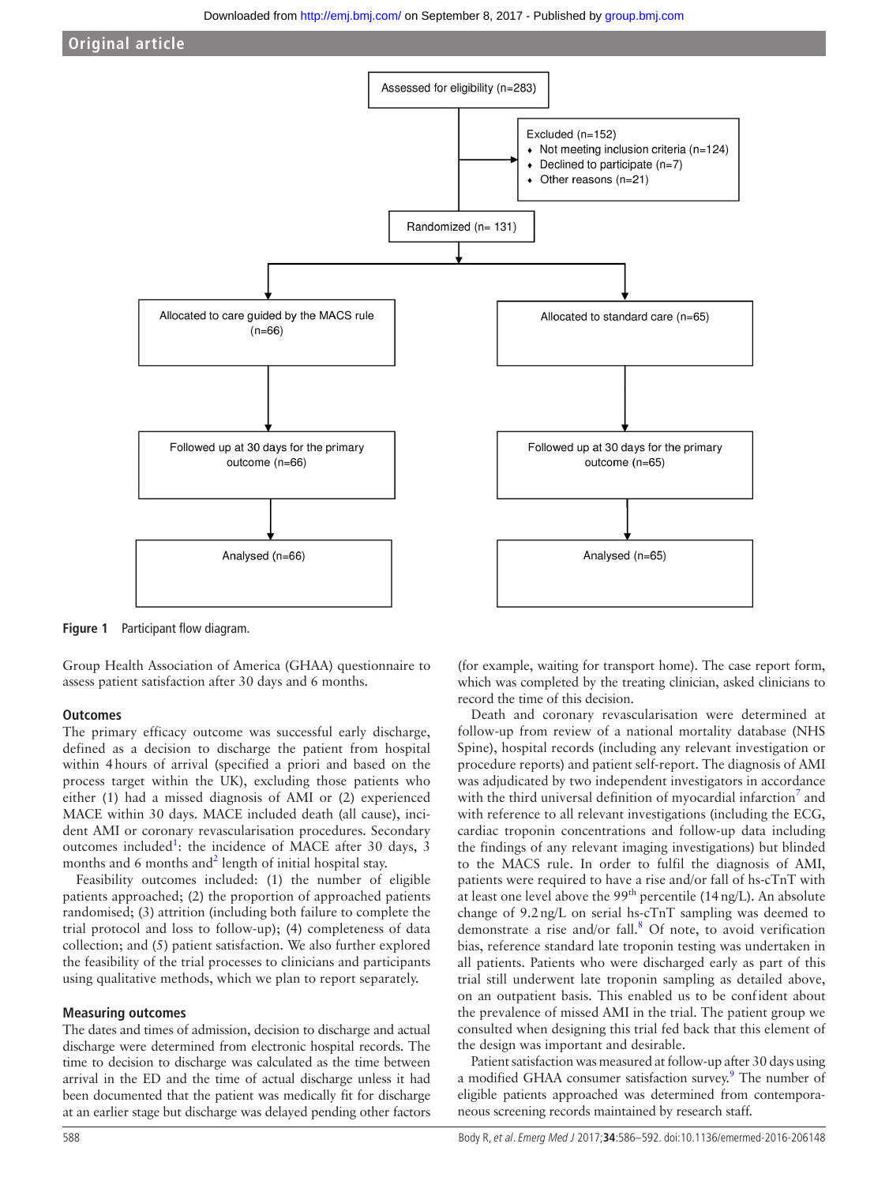

<span id="page-2-0"></span>**Figure 1** Participant flow diagram.

Group Health Association of America (GHAA) questionnaire to assess patient satisfaction after 30 days and 6 months.

#### **Outcomes**

The primary efficacy outcome was successful early discharge, defined as a decision to discharge the patient from hospital within 4hours of arrival (specified a priori and based on the process target within the UK), excluding those patients who either (1) had a missed diagnosis of AMI or (2) experienced MACE within 30 days. MACE included death (all cause), incident AMI or coronary revascularisation procedures. Secondary outcomes included<sup>[1](#page-5-0)</sup>: the incidence of MACE after 30 days, 3 months and 6 months and<sup>[2](#page-5-3)</sup> length of initial hospital stay.

Feasibility outcomes included: (1) the number of eligible patients approached; (2) the proportion of approached patients randomised; (3) attrition (including both failure to complete the trial protocol and loss to follow-up); (4) completeness of data collection; and (5) patient satisfaction. We also further explored the feasibility of the trial processes to clinicians and participants using qualitative methods, which we plan to report separately.

#### **Measuring outcomes**

The dates and times of admission, decision to discharge and actual discharge were determined from electronic hospital records. The time to decision to discharge was calculated as the time between arrival in the ED and the time of actual discharge unless it had been documented that the patient was medically fit for discharge at an earlier stage but discharge was delayed pending other factors

(for example, waiting for transport home). The case report form, which was completed by the treating clinician, asked clinicians to record the time of this decision.

Death and coronary revascularisation were determined at follow-up from review of a national mortality database (NHS Spine), hospital records (including any relevant investigation or procedure reports) and patient self-report. The diagnosis of AMI was adjudicated by two independent investigators in accordance with the third universal definition of myocardial infarction<sup>7</sup> and with reference to all relevant investigations (including the ECG, cardiac troponin concentrations and follow-up data including the findings of any relevant imaging investigations) but blinded to the MACS rule. In order to fulfil the diagnosis of AMI, patients were required to have a rise and/or fall of hs-cTnT with at least one level above the 99<sup>th</sup> percentile (14 ng/L). An absolute change of 9.2ng/L on serial hs-cTnT sampling was deemed to demonstrate a rise and/or fall.<sup>[8](#page-6-2)</sup> Of note, to avoid verification bias, reference standard late troponin testing was undertaken in all patients. Patients who were discharged early as part of this trial still underwent late troponin sampling as detailed above, on an outpatient basis. This enabled us to be confident about the prevalence of missed AMI in the trial. The patient group we consulted when designing this trial fed back that this element of the design was important and desirable.

Patient satisfaction was measured at follow-up after 30 days using a modified GHAA consumer satisfaction survey.<sup>9</sup> The number of eligible patients approached was determined from contemporaneous screening records maintained by research staff.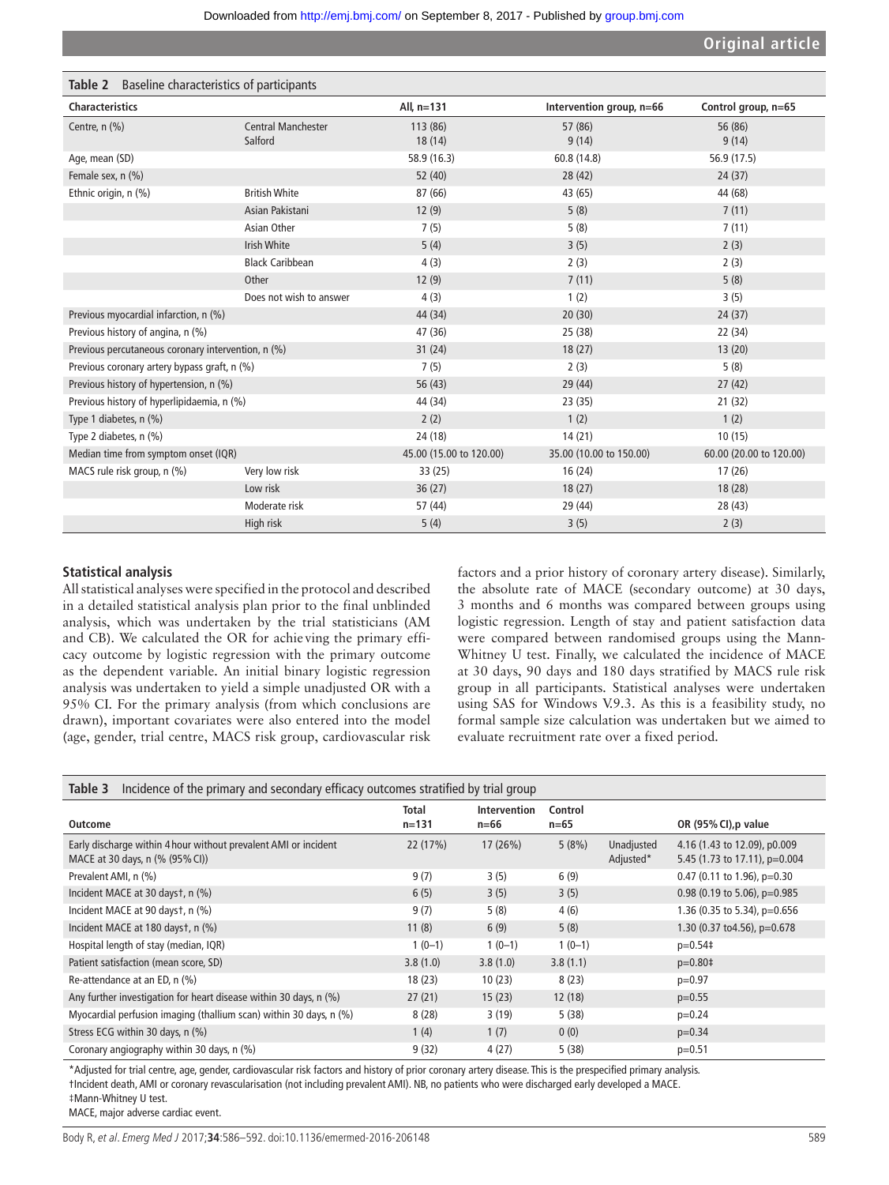| <b>Table 2</b> Daseme Characteristics of participants |                                      |                         |                          |                         |
|-------------------------------------------------------|--------------------------------------|-------------------------|--------------------------|-------------------------|
| <b>Characteristics</b>                                |                                      | All, n=131              | Intervention group, n=66 | Control group, n=65     |
| Centre, $n$ $(\%)$                                    | <b>Central Manchester</b><br>Salford | 113 (86)<br>18(14)      | 57 (86)<br>9(14)         | 56 (86)<br>9(14)        |
| Age, mean (SD)                                        |                                      | 58.9 (16.3)             | 60.8 (14.8)              | 56.9 (17.5)             |
| Female sex, n (%)                                     |                                      | 52 (40)                 | 28 (42)                  | 24(37)                  |
| Ethnic origin, n (%)                                  | <b>British White</b>                 | 87 (66)                 | 43 (65)                  | 44 (68)                 |
|                                                       | Asian Pakistani                      | 12(9)                   | 5(8)                     | 7(11)                   |
|                                                       | Asian Other                          | 7(5)                    | 5(8)                     | 7(11)                   |
|                                                       | <b>Irish White</b>                   | 5(4)                    | 3(5)                     | 2(3)                    |
|                                                       | <b>Black Caribbean</b>               | 4(3)                    | 2(3)                     | 2(3)                    |
|                                                       | Other                                | 12(9)                   | 7(11)                    | 5(8)                    |
|                                                       | Does not wish to answer              | 4(3)                    | 1(2)                     | 3(5)                    |
| Previous myocardial infarction, n (%)                 |                                      | 44 (34)                 | 20(30)                   | 24(37)                  |
| Previous history of angina, n (%)                     |                                      | 47 (36)                 | 25 (38)                  | 22 (34)                 |
| Previous percutaneous coronary intervention, n (%)    |                                      | 31(24)                  | 18(27)                   | 13(20)                  |
| Previous coronary artery bypass graft, n (%)          |                                      | 7(5)                    | 2(3)                     | 5(8)                    |
| Previous history of hypertension, n (%)               |                                      | 56 $(43)$               | 29 (44)                  | 27(42)                  |
| Previous history of hyperlipidaemia, n (%)            |                                      | 44 (34)                 | 23(35)                   | 21(32)                  |
| Type 1 diabetes, n (%)                                |                                      | 2(2)                    | 1(2)                     | 1(2)                    |
| Type 2 diabetes, n (%)                                |                                      | 24 (18)                 | 14(21)                   | 10(15)                  |
| Median time from symptom onset (IQR)                  |                                      | 45.00 (15.00 to 120.00) | 35.00 (10.00 to 150.00)  | 60.00 (20.00 to 120.00) |
| MACS rule risk group, n (%)                           | Very low risk                        | 33(25)                  | 16(24)                   | 17(26)                  |
|                                                       | Low risk                             | 36(27)                  | 18(27)                   | 18 (28)                 |
|                                                       | Moderate risk                        | 57 (44)                 | 29 (44)                  | 28 (43)                 |
|                                                       | High risk                            | 5(4)                    | 3(5)                     | 2(3)                    |

# <span id="page-3-0"></span>**Table 2** Baseline characteristics of participants

#### **Statistical analysis**

All statistical analyses were specified in the protocol and described in a detailed statistical analysis plan prior to the final unblinded analysis, which was undertaken by the trial statisticians (AM and CB). We calculated the OR for achie ving the primary efficacy outcome by logistic regression with the primary outcome as the dependent variable. An initial binary logistic regression analysis was undertaken to yield a simple unadjusted OR with a 95% CI. For the primary analysis (from which conclusions are drawn), important covariates were also entered into the model (age, gender, trial centre, MACS risk group, cardiovascular risk

factors and a prior history of coronary artery disease). Similarly, the absolute rate of MACE (secondary outcome) at 30 days, 3 months and 6 months was compared between groups using logistic regression. Length of stay and patient satisfaction data were compared between randomised groups using the Mann-Whitney U test. Finally, we calculated the incidence of MACE at 30 days, 90 days and 180 days stratified by MACS rule risk group in all participants. Statistical analyses were undertaken using SAS for Windows V.9.3. As this is a feasibility study, no formal sample size calculation was undertaken but we aimed to evaluate recruitment rate over a fixed period.

<span id="page-3-1"></span>

| Table 3 Incidence of the primary and secondary efficacy outcomes stratified by trial group |
|--------------------------------------------------------------------------------------------|
|                                                                                            |

|                                                                                                    | <b>Total</b> | <b>Intervention</b> | Control  |                         |                                                               |
|----------------------------------------------------------------------------------------------------|--------------|---------------------|----------|-------------------------|---------------------------------------------------------------|
| Outcome                                                                                            | $n = 131$    | $n=66$              | $n=65$   |                         | OR (95% CI), p value                                          |
| Early discharge within 4 hour without prevalent AMI or incident<br>MACE at 30 days, n (% (95% CI)) | 22 (17%)     | 17 (26%)            | 5(8%)    | Unadjusted<br>Adjusted* | 4.16 (1.43 to 12.09), p0.009<br>5.45 (1.73 to 17.11), p=0.004 |
| Prevalent AMI, n (%)                                                                               | 9(7)         | 3(5)                | 6(9)     |                         | 0.47 (0.11 to 1.96), $p=0.30$                                 |
| Incident MACE at 30 dayst, n (%)                                                                   | 6(5)         | 3(5)                | 3(5)     |                         | 0.98 (0.19 to 5.06), $p=0.985$                                |
| Incident MACE at 90 dayst, n (%)                                                                   | 9(7)         | 5(8)                | 4(6)     |                         | 1.36 (0.35 to 5.34), p=0.656                                  |
| Incident MACE at 180 dayst, n (%)                                                                  | 11(8)        | 6(9)                | 5(8)     |                         | 1.30 (0.37 to 4.56), p=0.678                                  |
| Hospital length of stay (median, IQR)                                                              | $1(0-1)$     | $1(0-1)$            | $1(0-1)$ |                         | $p=0.54$ ‡                                                    |
| Patient satisfaction (mean score, SD)                                                              | 3.8(1.0)     | 3.8(1.0)            | 3.8(1.1) |                         | $p=0.80$ ‡                                                    |
| Re-attendance at an ED, n (%)                                                                      | 18(23)       | 10(23)              | 8(23)    |                         | $p=0.97$                                                      |
| Any further investigation for heart disease within 30 days, n (%)                                  | 27(21)       | 15(23)              | 12(18)   |                         | $p=0.55$                                                      |
| Myocardial perfusion imaging (thallium scan) within 30 days, n (%)                                 | 8(28)        | 3(19)               | 5(38)    |                         | $p=0.24$                                                      |
| Stress ECG within 30 days, n (%)                                                                   | 1(4)         | 1(7)                | 0(0)     |                         | $p=0.34$                                                      |
| Coronary angiography within 30 days, n (%)                                                         | 9(32)        | 4(27)               | 5(38)    |                         | $p=0.51$                                                      |

\*Adjusted for trial centre, age, gender, cardiovascular risk factors and history of prior coronary artery disease. This is the prespecified primary analysis. †Incident death, AMI or coronary revascularisation (not including prevalent AMI). NB, no patients who were discharged early developed a MACE. ‡Mann-Whitney U test.

MACE, major adverse cardiac event.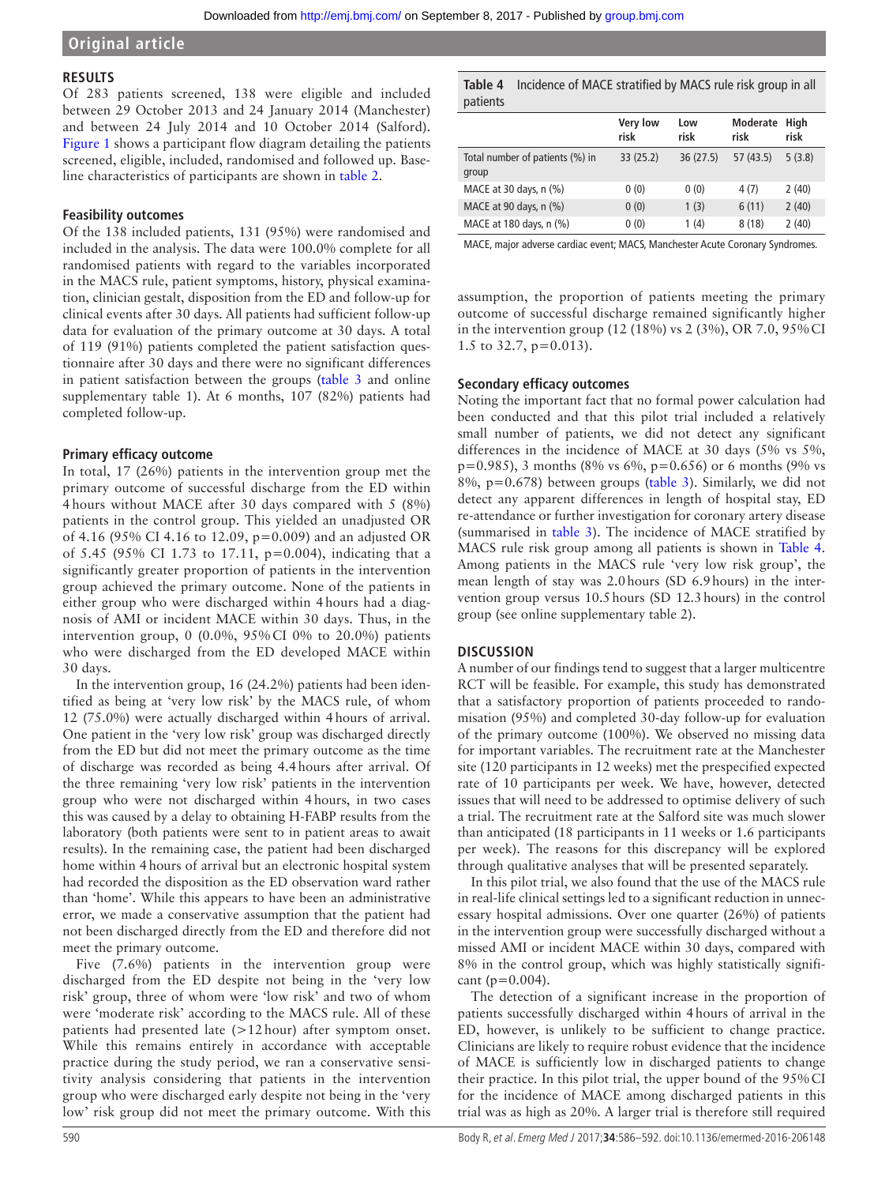# **Original article**

### **Results**

Of 283 patients screened, 138 were eligible and included between 29 October 2013 and 24 January 2014 (Manchester) and between 24 July 2014 and 10 October 2014 (Salford). [Figure](#page-2-0) 1 shows a participant flow diagram detailing the patients screened, eligible, included, randomised and followed up. Baseline characteristics of participants are shown in [table](#page-3-0) 2.

## **Feasibility outcomes**

Of the 138 included patients, 131 (95%) were randomised and included in the analysis. The data were 100.0% complete for all randomised patients with regard to the variables incorporated in the MACS rule, patient symptoms, history, physical examination, clinician gestalt, disposition from the ED and follow-up for clinical events after 30 days. All patients had sufficient follow-up data for evaluation of the primary outcome at 30 days. A total of 119 (91%) patients completed the patient satisfaction questionnaire after 30 days and there were no significant differences in patient satisfaction between the groups [\(table](#page-3-1) 3 and online [supplementary table 1](https://dx.doi.org/10.1136/emermed-2016-206148)). At 6 months, 107 (82%) patients had completed follow-up.

# **Primary efficacy outcome**

In total, 17 (26%) patients in the intervention group met the primary outcome of successful discharge from the ED within 4 hours without MACE after 30 days compared with 5 (8%) patients in the control group. This yielded an unadjusted OR of 4.16 (95% CI 4.16 to 12.09, p=0.009) and an adjusted OR of 5.45 (95% CI 1.73 to 17.11, p=0.004), indicating that a significantly greater proportion of patients in the intervention group achieved the primary outcome. None of the patients in either group who were discharged within 4hours had a diagnosis of AMI or incident MACE within 30 days. Thus, in the intervention group, 0 (0.0%, 95%CI 0% to 20.0%) patients who were discharged from the ED developed MACE within 30 days.

In the intervention group, 16 (24.2%) patients had been identified as being at 'very low risk' by the MACS rule, of whom 12 (75.0%) were actually discharged within 4hours of arrival. One patient in the 'very low risk' group was discharged directly from the ED but did not meet the primary outcome as the time of discharge was recorded as being 4.4hours after arrival. Of the three remaining 'very low risk' patients in the intervention group who were not discharged within 4hours, in two cases this was caused by a delay to obtaining H-FABP results from the laboratory (both patients were sent to in patient areas to await results). In the remaining case, the patient had been discharged home within 4hours of arrival but an electronic hospital system had recorded the disposition as the ED observation ward rather than 'home'. While this appears to have been an administrative error, we made a conservative assumption that the patient had not been discharged directly from the ED and therefore did not meet the primary outcome.

Five (7.6%) patients in the intervention group were discharged from the ED despite not being in the 'very low risk' group, three of whom were 'low risk' and two of whom were 'moderate risk' according to the MACS rule. All of these patients had presented late (>12 hour) after symptom onset. While this remains entirely in accordance with acceptable practice during the study period, we ran a conservative sensitivity analysis considering that patients in the intervention group who were discharged early despite not being in the 'very low' risk group did not meet the primary outcome. With this

<span id="page-4-0"></span>**Table 4** Incidence of MACE stratified by MACS rule risk group in all patients

|                                          | <b>Very low</b><br>risk | Low<br>risk | Moderate<br>risk | High<br>risk |
|------------------------------------------|-------------------------|-------------|------------------|--------------|
| Total number of patients (%) in<br>group | 33 (25.2)               | 36(27.5)    | 57(43.5)         | 5(3.8)       |
| MACE at 30 days, n (%)                   | 0(0)                    | 0(0)        | 4(7)             | 2(40)        |
| MACE at 90 days, n (%)                   | 0(0)                    | 1(3)        | 6(11)            | 2(40)        |
| MACE at 180 days, n (%)                  | 0(0)                    | 1(4)        | 8(18)            | 2(40)        |
|                                          |                         |             |                  |              |

MACE, major adverse cardiac event; MACS, Manchester Acute Coronary Syndromes.

assumption, the proportion of patients meeting the primary outcome of successful discharge remained significantly higher in the intervention group (12 (18%) vs 2 (3%), OR 7.0, 95%CI 1.5 to 32.7, p=0.013).

#### **Secondary efficacy outcomes**

Noting the important fact that no formal power calculation had been conducted and that this pilot trial included a relatively small number of patients, we did not detect any significant differences in the incidence of MACE at 30 days (5% vs 5%,  $p=0.985$ ), 3 months (8% vs 6%,  $p=0.656$ ) or 6 months (9% vs 8%, p=0.678) between groups [\(table](#page-3-1) 3). Similarly, we did not detect any apparent differences in length of hospital stay, ED re-attendance or further investigation for coronary artery disease (summarised in [table](#page-3-1) 3). The incidence of MACE stratified by MACS rule risk group among all patients is shown in [Table](#page-4-0) 4. Among patients in the MACS rule 'very low risk group', the mean length of stay was 2.0hours (SD 6.9hours) in the intervention group versus 10.5hours (SD 12.3hours) in the control group (see online [supplementary table 2](https://dx.doi.org/10.1136/emermed-2016-206148)).

#### **Discussion**

A number of our findings tend to suggest that a larger multicentre RCT will be feasible. For example, this study has demonstrated that a satisfactory proportion of patients proceeded to randomisation (95%) and completed 30-day follow-up for evaluation of the primary outcome (100%). We observed no missing data for important variables. The recruitment rate at the Manchester site (120 participants in 12 weeks) met the prespecified expected rate of 10 participants per week. We have, however, detected issues that will need to be addressed to optimise delivery of such a trial. The recruitment rate at the Salford site was much slower than anticipated (18 participants in 11 weeks or 1.6 participants per week). The reasons for this discrepancy will be explored through qualitative analyses that will be presented separately.

In this pilot trial, we also found that the use of the MACS rule in real-life clinical settings led to a significant reduction in unnecessary hospital admissions. Over one quarter (26%) of patients in the intervention group were successfully discharged without a missed AMI or incident MACE within 30 days, compared with 8% in the control group, which was highly statistically significant ( $p=0.004$ ).

The detection of a significant increase in the proportion of patients successfully discharged within 4hours of arrival in the ED, however, is unlikely to be sufficient to change practice. Clinicians are likely to require robust evidence that the incidence of MACE is sufficiently low in discharged patients to change their practice. In this pilot trial, the upper bound of the 95%CI for the incidence of MACE among discharged patients in this trial was as high as 20%. A larger trial is therefore still required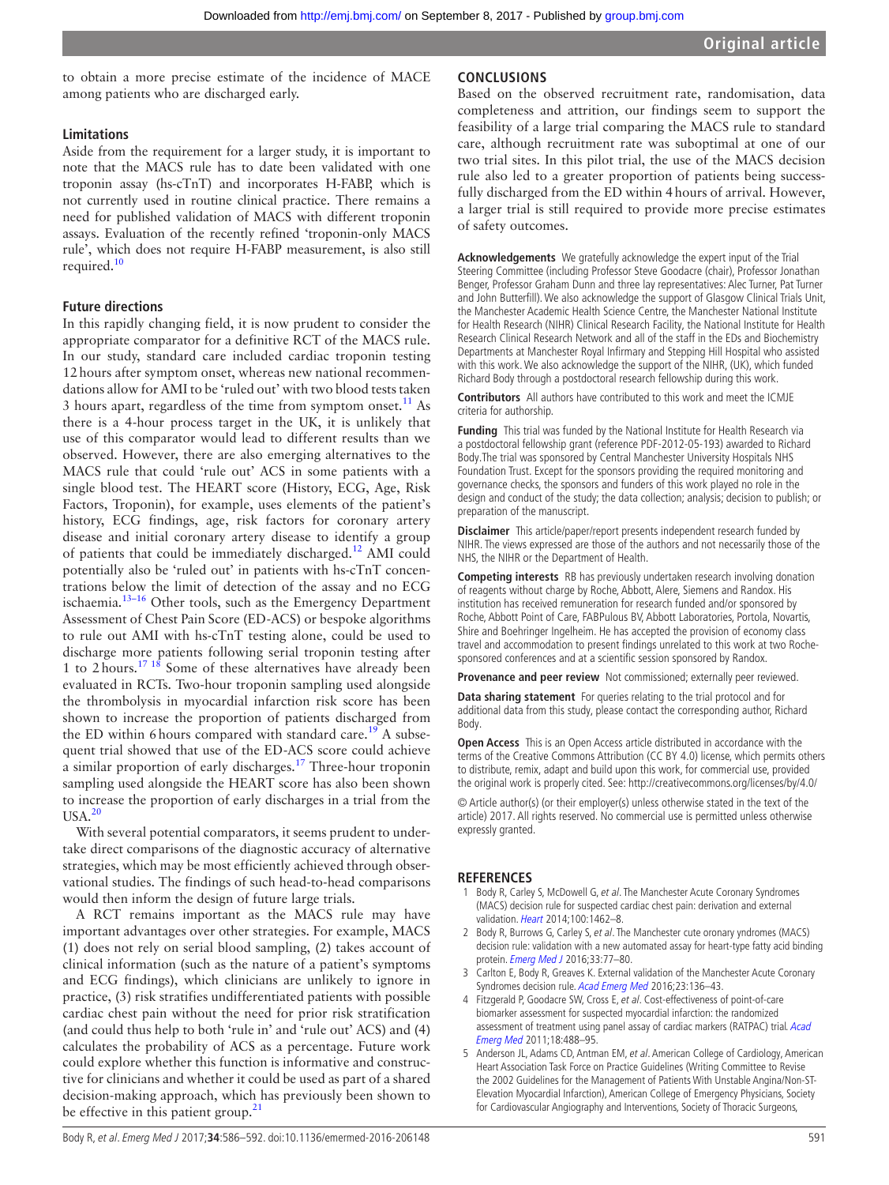to obtain a more precise estimate of the incidence of MACE among patients who are discharged early.

#### **Limitations**

Aside from the requirement for a larger study, it is important to note that the MACS rule has to date been validated with one troponin assay (hs-cTnT) and incorporates H-FABP, which is not currently used in routine clinical practice. There remains a need for published validation of MACS with different troponin assays. Evaluation of the recently refined 'troponin-only MACS rule', which does not require H-FABP measurement, is also still required[.10](#page-6-4)

#### **Future directions**

In this rapidly changing field, it is now prudent to consider the appropriate comparator for a definitive RCT of the MACS rule. In our study, standard care included cardiac troponin testing 12hours after symptom onset, whereas new national recommendations allow for AMI to be 'ruled out' with two blood tests taken 3 hours apart, regardless of the time from symptom onset.<sup>[11](#page-6-5)</sup> As there is a 4-hour process target in the UK, it is unlikely that use of this comparator would lead to different results than we observed. However, there are also emerging alternatives to the MACS rule that could 'rule out' ACS in some patients with a single blood test. The HEART score (History, ECG, Age, Risk Factors, Troponin), for example, uses elements of the patient's history, ECG findings, age, risk factors for coronary artery disease and initial coronary artery disease to identify a group of patients that could be immediately discharged.<sup>12</sup> AMI could potentially also be 'ruled out' in patients with hs-cTnT concentrations below the limit of detection of the assay and no ECG ischaemia.[13–16](#page-6-7) Other tools, such as the Emergency Department Assessment of Chest Pain Score (ED-ACS) or bespoke algorithms to rule out AMI with hs-cTnT testing alone, could be used to discharge more patients following serial troponin testing after 1 to 2 hours.<sup>17 18</sup> Some of these alternatives have already been evaluated in RCTs. Two-hour troponin sampling used alongside the thrombolysis in myocardial infarction risk score has been shown to increase the proportion of patients discharged from the ED within 6 hours compared with standard care.<sup>[19](#page-6-9)</sup> A subsequent trial showed that use of the ED-ACS score could achieve a similar proportion of early discharges.[17](#page-6-8) Three-hour troponin sampling used alongside the HEART score has also been shown to increase the proportion of early discharges in a trial from the  $USA.<sup>20</sup>$ 

With several potential comparators, it seems prudent to undertake direct comparisons of the diagnostic accuracy of alternative strategies, which may be most efficiently achieved through observational studies. The findings of such head-to-head comparisons would then inform the design of future large trials.

A RCT remains important as the MACS rule may have important advantages over other strategies. For example, MACS (1) does not rely on serial blood sampling, (2) takes account of clinical information (such as the nature of a patient's symptoms and ECG findings), which clinicians are unlikely to ignore in practice, (3) risk stratifies undifferentiated patients with possible cardiac chest pain without the need for prior risk stratification (and could thus help to both 'rule in' and 'rule out' ACS) and (4) calculates the probability of ACS as a percentage. Future work could explore whether this function is informative and constructive for clinicians and whether it could be used as part of a shared decision-making approach, which has previously been shown to be effective in this patient group. $21$ 

### **Conclusions**

Based on the observed recruitment rate, randomisation, data completeness and attrition, our findings seem to support the feasibility of a large trial comparing the MACS rule to standard care, although recruitment rate was suboptimal at one of our two trial sites. In this pilot trial, the use of the MACS decision rule also led to a greater proportion of patients being successfully discharged from the ED within 4hours of arrival. However, a larger trial is still required to provide more precise estimates of safety outcomes.

**Acknowledgements** We gratefully acknowledge the expert input of the Trial Steering Committee (including Professor Steve Goodacre (chair), Professor Jonathan Benger, Professor Graham Dunn and three lay representatives: Alec Turner, Pat Turner and John Butterfill). We also acknowledge the support of Glasgow Clinical Trials Unit, the Manchester Academic Health Science Centre, the Manchester National Institute for Health Research (NIHR) Clinical Research Facility, the National Institute for Health Research Clinical Research Network and all of the staff in the EDs and Biochemistry Departments at Manchester Royal Infirmary and Stepping Hill Hospital who assisted with this work. We also acknowledge the support of the NIHR, (UK), which funded Richard Body through a postdoctoral research fellowship during this work.

**Contributors** All authors have contributed to this work and meet the ICMJE criteria for authorship.

**Funding** This trial was funded by the National Institute for Health Research via a postdoctoral fellowship grant (reference PDF-2012-05-193) awarded to Richard Body.The trial was sponsored by Central Manchester University Hospitals NHS Foundation Trust. Except for the sponsors providing the required monitoring and governance checks, the sponsors and funders of this work played no role in the design and conduct of the study; the data collection; analysis; decision to publish; or preparation of the manuscript.

**Disclaimer** This article/paper/report presents independent research funded by NIHR. The views expressed are those of the authors and not necessarily those of the NHS, the NIHR or the Department of Health.

**Competing interests** RB has previously undertaken research involving donation of reagents without charge by Roche, Abbott, Alere, Siemens and Randox. His institution has received remuneration for research funded and/or sponsored by Roche, Abbott Point of Care, FABPulous BV, Abbott Laboratories, Portola, Novartis, Shire and Boehringer Ingelheim. He has accepted the provision of economy class travel and accommodation to present findings unrelated to this work at two Rochesponsored conferences and at a scientific session sponsored by Randox.

**Provenance and peer review** Not commissioned; externally peer reviewed.

**Data sharing statement** For queries relating to the trial protocol and for additional data from this study, please contact the corresponding author, Richard Body.

**Open Access** This is an Open Access article distributed in accordance with the terms of the Creative Commons Attribution (CC BY 4.0) license, which permits others to distribute, remix, adapt and build upon this work, for commercial use, provided the original work is properly cited. See:<http://creativecommons.org/licenses/by/4.0/>

© Article author(s) (or their employer(s) unless otherwise stated in the text of the article) 2017. All rights reserved. No commercial use is permitted unless otherwise expressly granted.

#### **References**

- <span id="page-5-0"></span>1 Body R, Carley S, McDowell G, et al. The Manchester Acute Coronary Syndromes (MACS) decision rule for suspected cardiac chest pain: derivation and external validation. [Heart](http://dx.doi.org/10.1136/heartjnl-2014-305564) 2014;100:1462-8.
- <span id="page-5-3"></span>2 Body R, Burrows G, Carley S, et al. The Manchester cute oronary yndromes (MACS) decision rule: validation with a new automated assay for heart-type fatty acid binding protein. [Emerg Med J](http://dx.doi.org/10.1136/emermed-2014-204235) 2016;33:77–80.
- 3 Carlton E, Body R, Greaves K. External validation of the Manchester Acute Coronary Syndromes decision rule. [Acad Emerg Med](http://dx.doi.org/10.1111/acem.12860) 2016;23:136–43.
- <span id="page-5-1"></span>4 Fitzgerald P, Goodacre SW, Cross E, et al. Cost-effectiveness of point-of-care biomarker assessment for suspected myocardial infarction: the randomized assessment of treatment using panel assay of cardiac markers (RATPAC) trial. Acad [Emerg Med](http://dx.doi.org/10.1111/j.1553-2712.2011.01068.x) 2011;18:488–95.
- <span id="page-5-2"></span>5 Anderson JL, Adams CD, Antman EM, et al. American College of Cardiology, American Heart Association Task Force on Practice Guidelines (Writing Committee to Revise the 2002 Guidelines for the Management of Patients With Unstable Angina/Non-ST-Elevation Myocardial Infarction), American College of Emergency Physicians, Society for Cardiovascular Angiography and Interventions, Society of Thoracic Surgeons,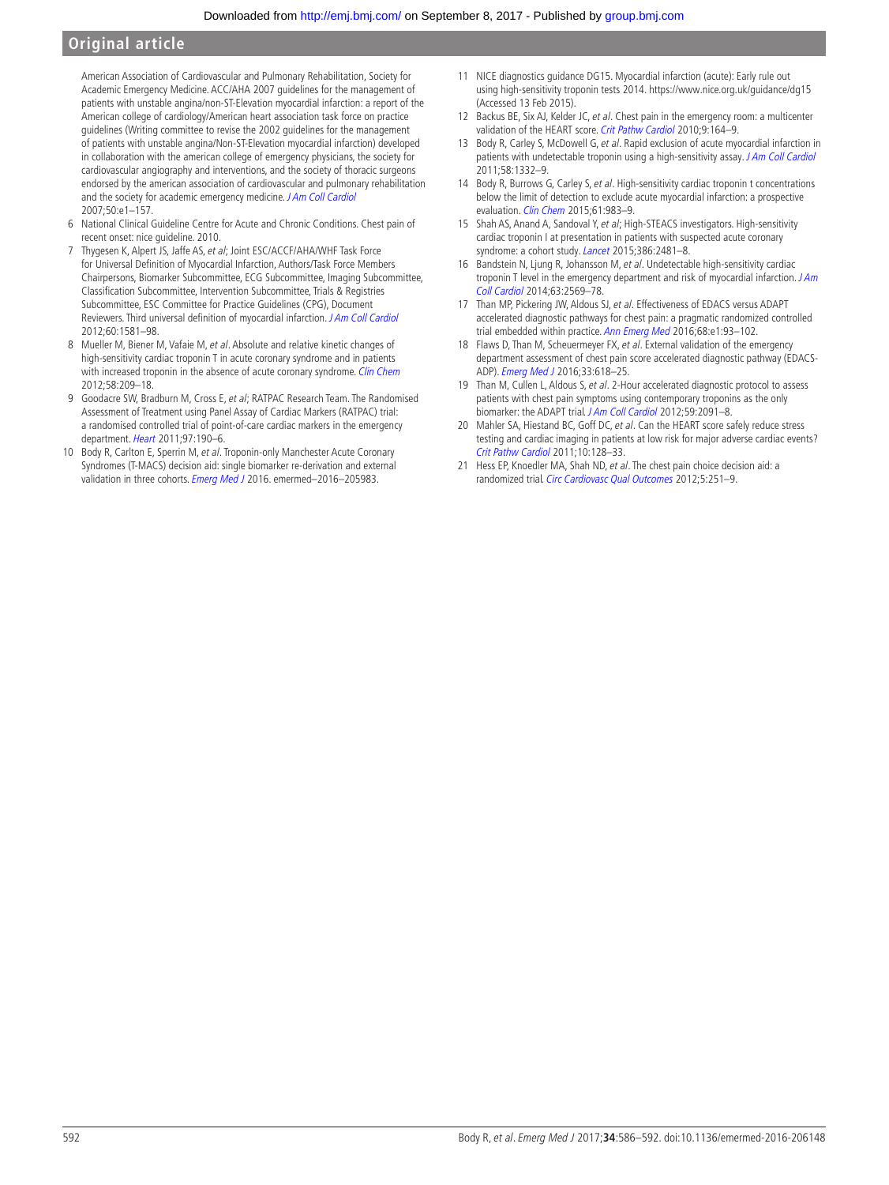# **Original article**

American Association of Cardiovascular and Pulmonary Rehabilitation, Society for Academic Emergency Medicine. ACC/AHA 2007 guidelines for the management of patients with unstable angina/non-ST-Elevation myocardial infarction: a report of the American college of cardiology/American heart association task force on practice guidelines (Writing committee to revise the 2002 guidelines for the management of patients with unstable angina/Non-ST-Elevation myocardial infarction) developed in collaboration with the american college of emergency physicians, the society for cardiovascular angiography and interventions, and the society of thoracic surgeons endorsed by the american association of cardiovascular and pulmonary rehabilitation and the society for academic emergency medicine. [J Am Coll Cardiol](http://dx.doi.org/10.1016/j.jacc.2007.02.013) 2007;50:e1–157.

- <span id="page-6-0"></span>6 National Clinical Guideline Centre for Acute and Chronic Conditions. Chest pain of recent onset: nice guideline. 2010.
- <span id="page-6-1"></span>Thygesen K, Alpert JS, Jaffe AS, et al; Joint ESC/ACCF/AHA/WHF Task Force for Universal Definition of Myocardial Infarction, Authors/Task Force Members Chairpersons, Biomarker Subcommittee, ECG Subcommittee, Imaging Subcommittee, Classification Subcommittee, Intervention Subcommittee, Trials & Registries Subcommittee, ESC Committee for Practice Guidelines (CPG), Document Reviewers. Third universal definition of myocardial infarction. [J Am Coll Cardiol](http://dx.doi.org/10.1016/j.jacc.2012.08.001) 2012;60:1581–98.
- <span id="page-6-2"></span>8 Mueller M, Biener M, Vafaie M, et al. Absolute and relative kinetic changes of high-sensitivity cardiac troponin T in acute coronary syndrome and in patients with increased troponin in the absence of acute coronary syndrome. [Clin Chem](http://dx.doi.org/10.1373/clinchem.2011.171827) 2012;58:209–18.
- <span id="page-6-3"></span>9 Goodacre SW, Bradburn M, Cross E, et al; RATPAC Research Team. The Randomised Assessment of Treatment using Panel Assay of Cardiac Markers (RATPAC) trial: a randomised controlled trial of point-of-care cardiac markers in the emergency department. [Heart](http://dx.doi.org/10.1136/hrt.2010.203166) 2011;97:190–6.
- <span id="page-6-4"></span>10 Body R, Carlton E, Sperrin M, et al. Troponin-only Manchester Acute Coronary Syndromes (T-MACS) decision aid: single biomarker re-derivation and external validation in three cohorts. [Emerg Med J](http://dx.doi.org/10.1136/emermed-2016-205983) 2016. emermed–2016–205983.
- <span id="page-6-5"></span>11 NICE diagnostics guidance DG15. Myocardial infarction (acute): Early rule out using high-sensitivity troponin tests 2014.<https://www.nice.org.uk/guidance/dg15> (Accessed 13 Feb 2015).
- <span id="page-6-6"></span>12 Backus BE, Six AJ, Kelder JC, et al. Chest pain in the emergency room: a multicenter validation of the HEART score. [Crit Pathw Cardiol](http://dx.doi.org/10.1097/HPC.0b013e3181ec36d8) 2010;9:164-9.
- <span id="page-6-7"></span>13 Body R, Carley S, McDowell G, et al. Rapid exclusion of acute myocardial infarction in patients with undetectable troponin using a high-sensitivity assay. [J Am Coll Cardiol](http://dx.doi.org/10.1016/j.jacc.2011.06.026) 2011;58:1332–9.
- 14 Body R, Burrows G, Carley S, et al. High-sensitivity cardiac troponin t concentrations below the limit of detection to exclude acute myocardial infarction: a prospective evaluation. [Clin Chem](http://dx.doi.org/10.1373/clinchem.2014.231530) 2015:61:983-9.
- 15 Shah AS, Anand A, Sandoval Y, et al; High-STEACS investigators. High-sensitivity cardiac troponin I at presentation in patients with suspected acute coronary syndrome: a cohort study. [Lancet](http://dx.doi.org/10.1016/S0140-6736(15)00391-8) 2015;386:2481-8.
- 16 Bandstein N, Ljung R, Johansson M, et al. Undetectable high-sensitivity cardiac troponin T level in the emergency department and risk of myocardial infarction. JAm [Coll Cardiol](http://dx.doi.org/10.1016/j.jacc.2014.03.017) 2014;63:2569–78.
- <span id="page-6-8"></span>17 Than MP, Pickering JW, Aldous SJ, et al. Effectiveness of EDACS versus ADAPT accelerated diagnostic pathways for chest pain: a pragmatic randomized controlled trial embedded within practice. [Ann Emerg Med](http://dx.doi.org/10.1016/j.annemergmed.2016.01.001) 2016;68:e1:93–102.
- 18 Flaws D, Than M, Scheuermeyer FX, et al. External validation of the emergency department assessment of chest pain score accelerated diagnostic pathway (EDACS-ADP). [Emerg Med J](http://dx.doi.org/10.1136/emermed-2015-205028) 2016;33:618–25.
- <span id="page-6-9"></span>19 Than M, Cullen L, Aldous S, et al. 2-Hour accelerated diagnostic protocol to assess patients with chest pain symptoms using contemporary troponins as the only biomarker: the ADAPT trial. [J Am Coll Cardiol](http://dx.doi.org/10.1016/j.jacc.2012.02.035) 2012;59:2091-8.
- <span id="page-6-10"></span>20 Mahler SA, Hiestand BC, Goff DC, et al. Can the HEART score safely reduce stress testing and cardiac imaging in patients at low risk for major adverse cardiac events? [Crit Pathw Cardiol](http://dx.doi.org/10.1097/HPC.0b013e3182315a85) 2011;10:128–33.
- <span id="page-6-11"></span>21 Hess EP, Knoedler MA, Shah ND, et al. The chest pain choice decision aid: a randomized trial. [Circ Cardiovasc Qual Outcomes](http://dx.doi.org/10.1161/CIRCOUTCOMES.111.964791) 2012;5:251–9.